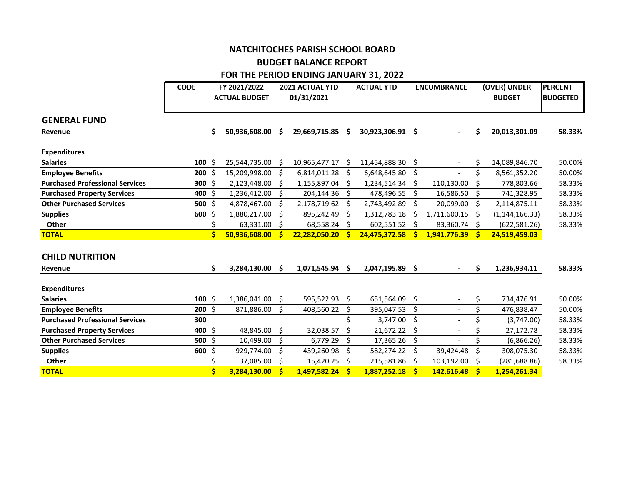## **NATCHITOCHES PARISH SCHOOL BOARD BUDGET BALANCE REPORT FOR THE PERIOD ENDING JANUARY 31, 2022**

|                                        | <b>CODE</b> |    | FY 2021/2022<br><b>ACTUAL BUDGET</b> |          | <b>2021 ACTUAL YTD</b><br>01/31/2021 |    | <b>ACTUAL YTD</b> |         | <b>ENCUMBRANCE</b>       |    | (OVER) UNDER<br><b>BUDGET</b> | <b>PERCENT</b><br><b>BUDGETED</b> |
|----------------------------------------|-------------|----|--------------------------------------|----------|--------------------------------------|----|-------------------|---------|--------------------------|----|-------------------------------|-----------------------------------|
| <b>GENERAL FUND</b>                    |             |    |                                      |          |                                      |    |                   |         |                          |    |                               |                                   |
| Revenue                                |             | Ś. | 50,936,608.00                        | <b>S</b> | 29,669,715.85                        | -S | 30,923,306.91 \$  |         |                          | \$ | 20,013,301.09                 | 58.33%                            |
| <b>Expenditures</b>                    |             |    |                                      |          |                                      |    |                   |         |                          |    |                               |                                   |
| <b>Salaries</b>                        | $100 \,$ \$ |    | 25,544,735.00                        | .S       | 10,965,477.17                        | Ŝ. | 11,454,888.30     | Ŝ.      |                          | Ś  | 14,089,846.70                 | 50.00%                            |
| <b>Employee Benefits</b>               | $200 \div$  |    | 15,209,998.00                        |          | 6,814,011.28                         | Ŝ. | 6,648,645.80      | Ŝ.      |                          | Ś  | 8,561,352.20                  | 50.00%                            |
| <b>Purchased Professional Services</b> | 300 \$      |    | 2,123,448.00                         | S        | 1,155,897.04                         | Ŝ. | 1,234,514.34      | \$      | 110,130.00               | Ś  | 778,803.66                    | 58.33%                            |
| <b>Purchased Property Services</b>     | 400 \$      |    | 1,236,412.00                         | Ŝ.       | 204,144.36 \$                        |    | 478,496.55        | -\$     | 16,586.50                | Ŝ. | 741,328.95                    | 58.33%                            |
| <b>Other Purchased Services</b>        | 500 \$      |    | 4,878,467.00                         |          | 2,178,719.62                         | -S | 2,743,492.89      | \$.     | 20,099.00                | \$ | 2,114,875.11                  | 58.33%                            |
| <b>Supplies</b>                        | 600 \$      |    | 1,880,217.00                         | Ś.       | 895,242.49                           | \$ | 1,312,783.18      | Š.      | 1,711,600.15             | \$ | (1, 144, 166.33)              | 58.33%                            |
| <b>Other</b>                           |             |    | 63,331.00                            | \$       | 68,558.24                            | Ŝ. | 602,551.52        | \$.     | 83,360.74                | Ŝ. | (622, 581.26)                 | 58.33%                            |
| <b>TOTAL</b>                           |             | Ś  | 50,936,608.00                        | S        | 22,282,050.20                        | S  | 24,475,372.58     | -Ś      | 1,941,776.39             | -S | 24,519,459.03                 |                                   |
| <b>CHILD NUTRITION</b>                 |             |    |                                      |          |                                      |    |                   |         |                          |    |                               |                                   |
| Revenue                                |             | Ś. | 3,284,130.00                         | \$.      | 1,071,545.94                         | -S | 2,047,195.89 \$   |         |                          | \$ | 1,236,934.11                  | 58.33%                            |
| <b>Expenditures</b>                    |             |    |                                      |          |                                      |    |                   |         |                          |    |                               |                                   |
| <b>Salaries</b>                        | $100 \;$ \$ |    | 1,386,041.00                         | \$.      | 595,522.93                           | Ŝ. | 651,564.09        | \$      |                          | \$ | 734,476.91                    | 50.00%                            |
| <b>Employee Benefits</b>               | $200 \,$ \$ |    | 871,886.00                           | Ś.       | 408,560.22                           | \$ | 395,047.53        | \$      |                          | \$ | 476,838.47                    | 50.00%                            |
| <b>Purchased Professional Services</b> | 300         |    |                                      |          |                                      | Ś. | 3,747.00          | $\zeta$ |                          | Ś  | (3,747.00)                    | 58.33%                            |
| <b>Purchased Property Services</b>     | 400 \$      |    | 48,845.00                            | \$       | 32,038.57                            | \$ | 21,672.22         | \$      | $\overline{\phantom{a}}$ | \$ | 27,172.78                     | 58.33%                            |
| <b>Other Purchased Services</b>        | 500 \$      |    | 10,499.00                            | \$       | 6,779.29                             | \$ | 17,365.26         | \$      |                          | \$ | (6,866.26)                    | 58.33%                            |
| <b>Supplies</b>                        | $600 \;$ \$ |    | 929,774.00                           | Ś.       | 439,260.98                           | Ś. | 582,274.22        | \$      | 39,424.48                | Ś  | 308,075.30                    | 58.33%                            |
| Other                                  |             |    | 37,085.00                            | Ś        | 15,420.25                            | Ŝ. | 215,581.86        | Š.      | 103,192.00               | Ś  | (281, 688.86)                 | 58.33%                            |
| <b>TOTAL</b>                           |             |    | 3,284,130.00                         | Ś        | 1,497,582.24                         | Ś  | 1,887,252.18      | \$      | 142,616.48               | Ś  | 1,254,261.34                  |                                   |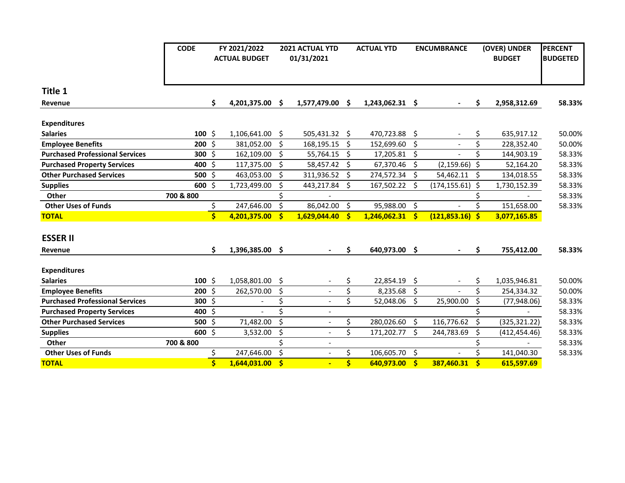|                                        | <b>CODE</b> | FY 2021/2022            |                      | <b>2021 ACTUAL YTD</b> |                          | <b>ACTUAL YTD</b>   |                   | <b>ENCUMBRANCE</b> |                    | (OVER) UNDER            |                          | <b>PERCENT</b>  |
|----------------------------------------|-------------|-------------------------|----------------------|------------------------|--------------------------|---------------------|-------------------|--------------------|--------------------|-------------------------|--------------------------|-----------------|
|                                        |             |                         | <b>ACTUAL BUDGET</b> |                        | 01/31/2021               |                     |                   |                    |                    |                         | <b>BUDGET</b>            | <b>BUDGETED</b> |
|                                        |             |                         |                      |                        |                          |                     |                   |                    |                    |                         |                          |                 |
| Title 1                                |             |                         |                      |                        |                          |                     |                   |                    |                    |                         |                          |                 |
| Revenue                                |             | \$                      | 4,201,375.00         | S.                     | 1,577,479.00 \$          |                     | 1,243,062.31 \$   |                    |                    | \$                      | 2,958,312.69             | 58.33%          |
| <b>Expenditures</b>                    |             |                         |                      |                        |                          |                     |                   |                    |                    |                         |                          |                 |
| <b>Salaries</b>                        | $100 \;$ \$ |                         | 1,106,641.00 \$      |                        | 505,431.32 \$            |                     | 470,723.88 \$     |                    |                    | \$                      | 635,917.12               | 50.00%          |
| <b>Employee Benefits</b>               | $200 \div$  |                         | 381,052.00           | \$                     | 168,195.15               | - \$                | 152,699.60        | - \$               |                    | \$                      | 228,352.40               | 50.00%          |
| <b>Purchased Professional Services</b> | 300 \$      |                         | 162,109.00           | \$                     | 55,764.15                | - \$                | 17,205.81         | - \$               |                    | \$                      | 144,903.19               | 58.33%          |
| <b>Purchased Property Services</b>     | 400 \$      |                         | 117,375.00           | \$                     | 58,457.42 \$             |                     | 67,370.46 \$      |                    | (2, 159.66)        | \$                      | 52,164.20                | 58.33%          |
| <b>Other Purchased Services</b>        | 500 \$      |                         | 463,053.00           | Ś.                     | 311,936.52 \$            |                     | 274,572.34 \$     |                    | 54,462.11          | Ŝ.                      | 134,018.55               | 58.33%          |
| <b>Supplies</b>                        | 600 \$      |                         | 1,723,499.00         | Ś.                     | 443,217.84               | Ŝ.                  | 167,502.22 \$     |                    | (174, 155.61)      | Ŝ.                      | 1,730,152.39             | 58.33%          |
| Other                                  | 700 & 800   |                         |                      |                        |                          |                     |                   |                    |                    | \$                      |                          | 58.33%          |
| <b>Other Uses of Funds</b>             |             | \$                      | 247,646.00           | \$                     | 86,042.00                | $\ddot{\mathsf{S}}$ | 95,988.00 \$      |                    |                    | \$                      | 151,658.00               | 58.33%          |
| <b>TOTAL</b>                           |             | $\overline{\mathsf{s}}$ | 4,201,375.00         | S.                     | $1,629,044.40$ \$        |                     | $1,246,062.31$ \$ |                    | $(121, 853.16)$ \$ |                         | 3,077,165.85             |                 |
| <b>ESSER II</b>                        |             |                         |                      |                        |                          |                     |                   |                    |                    |                         |                          |                 |
| Revenue                                |             | \$.                     | 1,396,385.00 \$      |                        |                          | \$                  | 640,973.00 \$     |                    |                    | \$                      | 755,412.00               | 58.33%          |
| <b>Expenditures</b>                    |             |                         |                      |                        |                          |                     |                   |                    |                    |                         |                          |                 |
| <b>Salaries</b>                        | $100 \;$ \$ |                         | 1,058,801.00         | \$                     |                          | \$                  | 22,854.19 \$      |                    |                    | \$                      | 1,035,946.81             | 50.00%          |
| <b>Employee Benefits</b>               | $200$ \$    |                         | 262,570.00           | \$                     |                          | \$                  | 8,235.68          | - \$               |                    | \$                      | 254,334.32               | 50.00%          |
| <b>Purchased Professional Services</b> | 300 \$      |                         |                      | \$                     |                          | \$                  | 52,048.06 \$      |                    | 25,900.00          | \$                      | (77, 948.06)             | 58.33%          |
| <b>Purchased Property Services</b>     | 400 \$      |                         |                      | Ś                      | $\blacksquare$           |                     |                   |                    |                    | \$                      | $\overline{\phantom{0}}$ | 58.33%          |
| <b>Other Purchased Services</b>        | 500 \$      |                         | 71,482.00            | \$                     |                          | \$                  | 280,026.60 \$     |                    | 116,776.62         | \$                      | (325, 321.22)            | 58.33%          |
| <b>Supplies</b>                        | 600 \$      |                         | 3,532.00             | \$                     | $\blacksquare$           | Ś.                  | 171,202.77        | - \$               | 244,783.69         | \$                      | (412, 454.46)            | 58.33%          |
| Other                                  | 700 & 800   |                         |                      | \$                     |                          |                     |                   |                    |                    | \$                      |                          | 58.33%          |
| <b>Other Uses of Funds</b>             |             | \$                      | 247,646.00           | \$                     | $\overline{\phantom{a}}$ | \$                  | 106,605.70 \$     |                    |                    | $\overline{\mathsf{S}}$ | 141,040.30               | 58.33%          |
| <b>TOTAL</b>                           |             | Ś                       | 1,644,031.00         | \$                     |                          | $\dot{\mathsf{s}}$  | 640,973.00        | -Ś                 | 387,460.31         | \$                      | 615,597.69               |                 |